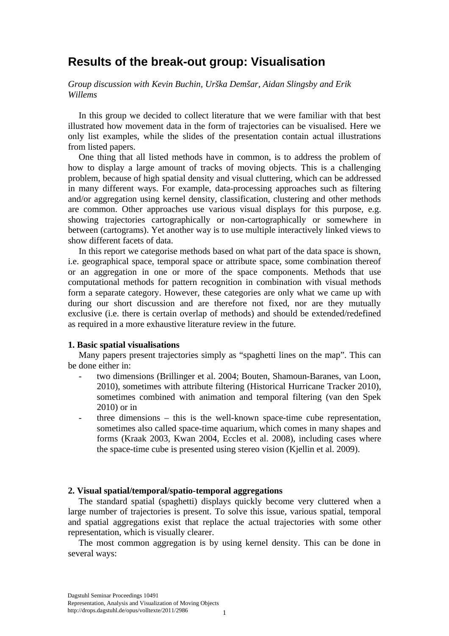# **Results of the break-out group: Visualisation**

*Group discussion with Kevin Buchin, Urška Demšar, Aidan Slingsby and Erik Willems*

In this group we decided to collect literature that we were familiar with that best illustrated how movement data in the form of trajectories can be visualised. Here we only list examples, while the slides of the presentation contain actual illustrations from listed papers.

One thing that all listed methods have in common, is to address the problem of how to display a large amount of tracks of moving objects. This is a challenging problem, because of high spatial density and visual cluttering, which can be addressed in many different ways. For example, data-processing approaches such as filtering and/or aggregation using kernel density, classification, clustering and other methods are common. Other approaches use various visual displays for this purpose, e.g. showing trajectories cartographically or non-cartographically or somewhere in between (cartograms). Yet another way is to use multiple interactively linked views to show different facets of data.

In this report we categorise methods based on what part of the data space is shown, i.e. geographical space, temporal space or attribute space, some combination thereof or an aggregation in one or more of the space components. Methods that use computational methods for pattern recognition in combination with visual methods form a separate category. However, these categories are only what we came up with during our short discussion and are therefore not fixed, nor are they mutually exclusive (i.e. there is certain overlap of methods) and should be extended/redefined as required in a more exhaustive literature review in the future.

### **1. Basic spatial visualisations**

Many papers present trajectories simply as "spaghetti lines on the map". This can be done either in:

- two dimensions (Brillinger et al. 2004; Bouten, Shamoun-Baranes, van Loon, 2010), sometimes with attribute filtering (Historical Hurricane Tracker 2010), sometimes combined with animation and temporal filtering (van den Spek 2010) or in
- three dimensions  $-$  this is the well-known space-time cube representation, sometimes also called space-time aquarium, which comes in many shapes and forms (Kraak 2003, Kwan 2004, Eccles et al. 2008), including cases where the space-time cube is presented using stereo vision (Kjellin et al. 2009).

#### **2. Visual spatial/temporal/spatio-temporal aggregations**

The standard spatial (spaghetti) displays quickly become very cluttered when a large number of trajectories is present. To solve this issue, various spatial, temporal and spatial aggregations exist that replace the actual trajectories with some other representation, which is visually clearer.

The most common aggregation is by using kernel density. This can be done in several ways: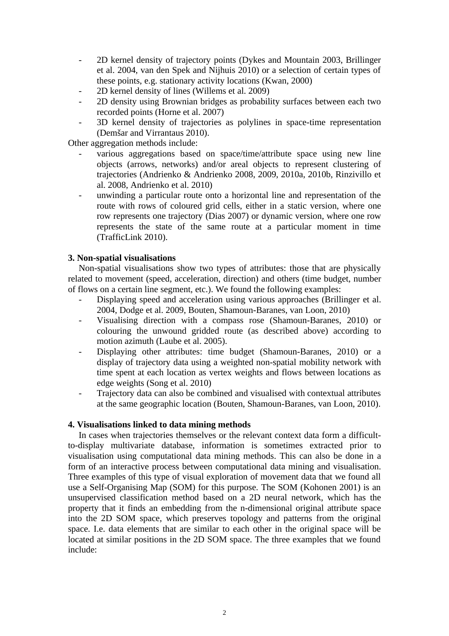- 2D kernel density of trajectory points (Dykes and Mountain 2003, Brillinger et al. 2004, van den Spek and Nijhuis 2010) or a selection of certain types of these points, e.g. stationary activity locations (Kwan, 2000)
- 2D kernel density of lines (Willems et al. 2009)
- 2D density using Brownian bridges as probability surfaces between each two recorded points (Horne et al. 2007)
- 3D kernel density of trajectories as polylines in space-time representation (Demšar and Virrantaus 2010).

Other aggregation methods include:

- various aggregations based on space/time/attribute space using new line objects (arrows, networks) and/or areal objects to represent clustering of trajectories (Andrienko & Andrienko 2008, 2009, 2010a, 2010b, Rinzivillo et al. 2008, Andrienko et al. 2010)
- unwinding a particular route onto a horizontal line and representation of the route with rows of coloured grid cells, either in a static version, where one row represents one trajectory (Dias 2007) or dynamic version, where one row represents the state of the same route at a particular moment in time (TrafficLink 2010).

## **3. Non-spatial visualisations**

Non-spatial visualisations show two types of attributes: those that are physically related to movement (speed, acceleration, direction) and others (time budget, number of flows on a certain line segment, etc.). We found the following examples:

- Displaying speed and acceleration using various approaches (Brillinger et al. 2004, Dodge et al. 2009, Bouten, Shamoun-Baranes, van Loon, 2010)
- Visualising direction with a compass rose (Shamoun-Baranes, 2010) or colouring the unwound gridded route (as described above) according to motion azimuth (Laube et al. 2005).
- Displaying other attributes: time budget (Shamoun-Baranes, 2010) or a display of trajectory data using a weighted non-spatial mobility network with time spent at each location as vertex weights and flows between locations as edge weights (Song et al. 2010)
- Trajectory data can also be combined and visualised with contextual attributes at the same geographic location (Bouten, Shamoun-Baranes, van Loon, 2010).

### **4. Visualisations linked to data mining methods**

In cases when trajectories themselves or the relevant context data form a difficultto-display multivariate database, information is sometimes extracted prior to visualisation using computational data mining methods. This can also be done in a form of an interactive process between computational data mining and visualisation. Three examples of this type of visual exploration of movement data that we found all use a Self-Organising Map (SOM) for this purpose. The SOM (Kohonen 2001) is an unsupervised classification method based on a 2D neural network, which has the property that it finds an embedding from the n-dimensional original attribute space into the 2D SOM space, which preserves topology and patterns from the original space. I.e. data elements that are similar to each other in the original space will be located at similar positions in the 2D SOM space. The three examples that we found include: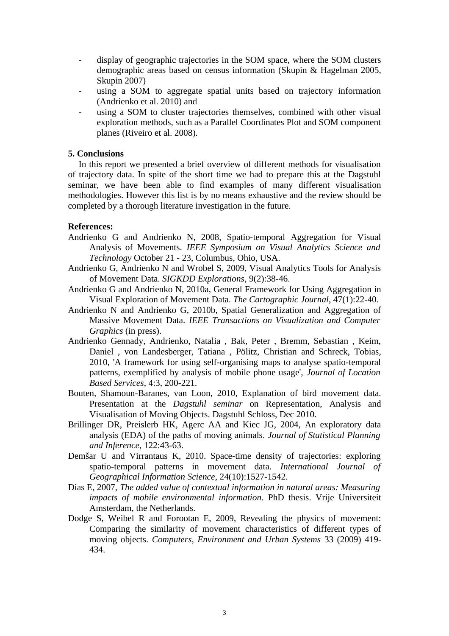- display of geographic trajectories in the SOM space, where the SOM clusters demographic areas based on census information (Skupin & Hagelman 2005, Skupin 2007)
- using a SOM to aggregate spatial units based on trajectory information (Andrienko et al. 2010) and
- using a SOM to cluster trajectories themselves, combined with other visual exploration methods, such as a Parallel Coordinates Plot and SOM component planes (Riveiro et al. 2008).

## **5. Conclusions**

In this report we presented a brief overview of different methods for visualisation of trajectory data. In spite of the short time we had to prepare this at the Dagstuhl seminar, we have been able to find examples of many different visualisation methodologies. However this list is by no means exhaustive and the review should be completed by a thorough literature investigation in the future.

## **References:**

- Andrienko G and Andrienko N, 2008, Spatio-temporal Aggregation for Visual Analysis of Movements. *IEEE Symposium on Visual Analytics Science and Technology* October 21 - 23, Columbus, Ohio, USA.
- Andrienko G, Andrienko N and Wrobel S, 2009, Visual Analytics Tools for Analysis of Movement Data. *SIGKDD Explorations*, 9(2):38-46.
- Andrienko G and Andrienko N, 2010a, General Framework for Using Aggregation in Visual Exploration of Movement Data. *The Cartographic Journal*, 47(1):22-40.
- Andrienko N and Andrienko G, 2010b, Spatial Generalization and Aggregation of Massive Movement Data. *IEEE Transactions on Visualization and Computer Graphics* (in press).
- Andrienko Gennady, Andrienko, Natalia , Bak, Peter , Bremm, Sebastian , Keim, Daniel , von Landesberger, Tatiana , Pölitz, Christian and Schreck, Tobias, 2010, 'A framework for using self-organising maps to analyse spatio-temporal patterns, exemplified by analysis of mobile phone usage', *Journal of Location Based Services*, 4:3, 200-221.
- Bouten, Shamoun-Baranes, van Loon, 2010, Explanation of bird movement data. Presentation at the *Dagstuhl seminar* on Representation, Analysis and Visualisation of Moving Objects. Dagstuhl Schloss, Dec 2010.
- Brillinger DR, Preislerb HK, Agerc AA and Kiec JG, 2004, An exploratory data analysis (EDA) of the paths of moving animals. *Journal of Statistical Planning and Inference*, 122:43-63.
- Demšar U and Virrantaus K, 2010. Space-time density of trajectories: exploring spatio-temporal patterns in movement data. *International Journal of Geographical Information Science*, 24(10):1527-1542.
- Dias E, 2007, *The added value of contextual information in natural areas: Measuring impacts of mobile environmental information*. PhD thesis. Vrije Universiteit Amsterdam, the Netherlands.
- Dodge S, Weibel R and Forootan E, 2009, Revealing the physics of movement: Comparing the similarity of movement characteristics of different types of moving objects. *Computers, Environment and Urban Systems* 33 (2009) 419- 434.